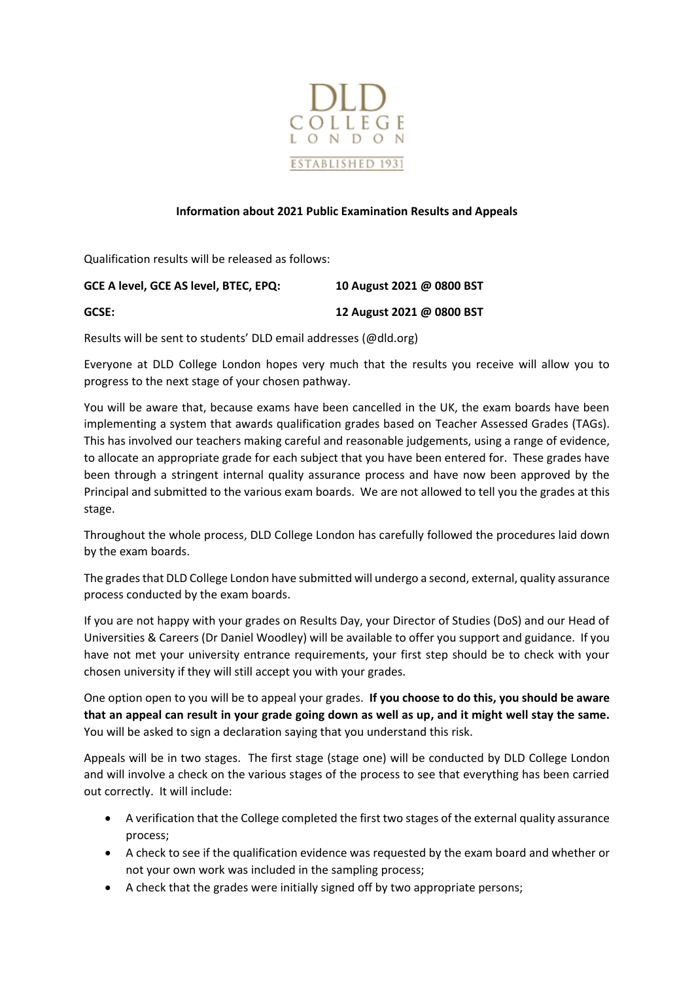

## **Information about 2021 Public Examination Results and Appeals**

Qualification results will be released as follows:

| GCSE:                                 | 12 August 2021 @ 0800 BST |
|---------------------------------------|---------------------------|
| GCE A level, GCE AS level, BTEC, EPQ: | 10 August 2021 @ 0800 BST |

Results will be sent to students' DLD email addresses (@dld.org)

Everyone at DLD College London hopes very much that the results you receive will allow you to progress to the next stage of your chosen pathway.

You will be aware that, because exams have been cancelled in the UK, the exam boards have been implementing a system that awards qualification grades based on Teacher Assessed Grades (TAGs). This has involved our teachers making careful and reasonable judgements, using a range of evidence, to allocate an appropriate grade for each subject that you have been entered for. These grades have been through a stringent internal quality assurance process and have now been approved by the Principal and submitted to the various exam boards. We are not allowed to tell you the grades at this stage.

Throughout the whole process, DLD College London has carefully followed the procedures laid down by the exam boards.

The grades that DLD College London have submitted will undergo a second, external, quality assurance process conducted by the exam boards.

If you are not happy with your grades on Results Day, your Director of Studies (DoS) and our Head of Universities & Careers (Dr Daniel Woodley) will be available to offer you support and guidance. If you have not met your university entrance requirements, your first step should be to check with your chosen university if they will still accept you with your grades.

One option open to you will be to appeal your grades. **If you choose to do this, you should be aware that an appeal can result in your grade going down as well as up, and it might well stay the same.** You will be asked to sign a declaration saying that you understand this risk.

Appeals will be in two stages. The first stage (stage one) will be conducted by DLD College London and will involve a check on the various stages of the process to see that everything has been carried out correctly. It will include:

- A verification that the College completed the first two stages of the external quality assurance process;
- A check to see if the qualification evidence was requested by the exam board and whether or not your own work was included in the sampling process;
- A check that the grades were initially signed off by two appropriate persons;